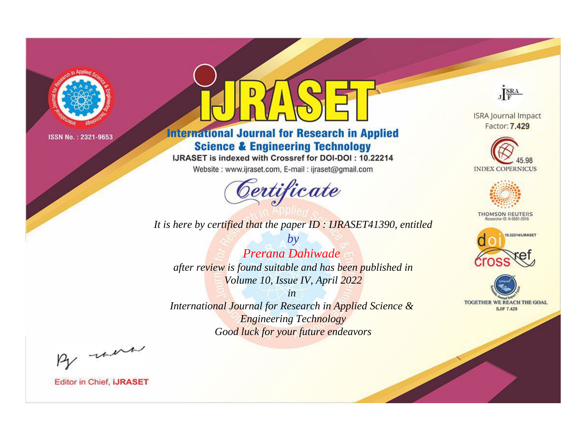

## **International Journal for Research in Applied Science & Engineering Technology**

IJRASET is indexed with Crossref for DOI-DOI: 10.22214

Website: www.ijraset.com, E-mail: ijraset@gmail.com

## Certificate

JERA

**ISRA Journal Impact** Factor: 7.429





**THOMSON REUTERS** 



TOGETHER WE REACH THE GOAL **SJIF 7.429** 

It is here by certified that the paper ID: IJRASET41390, entitled

 $by$ Prerana Dahiwade after review is found suitable and has been published in Volume 10, Issue IV, April 2022

 $in$ International Journal for Research in Applied Science & **Engineering Technology** Good luck for your future endeavors

By morn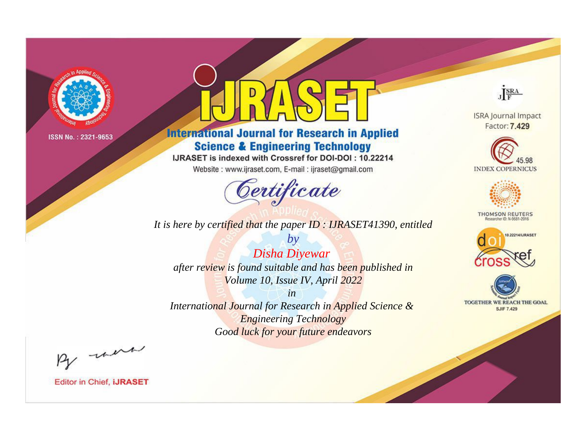

## **International Journal for Research in Applied Science & Engineering Technology**

IJRASET is indexed with Crossref for DOI-DOI: 10.22214

Website: www.ijraset.com, E-mail: ijraset@gmail.com

## Certificate

JERA

**ISRA Journal Impact** Factor: 7.429





**THOMSON REUTERS** 



TOGETHER WE REACH THE GOAL **SJIF 7.429** 

*It is here by certified that the paper ID : IJRASET41390, entitled*

*by Disha Diyewar after review is found suitable and has been published in Volume 10, Issue IV, April 2022*

*in* 

*International Journal for Research in Applied Science & Engineering Technology Good luck for your future endeavors*

By now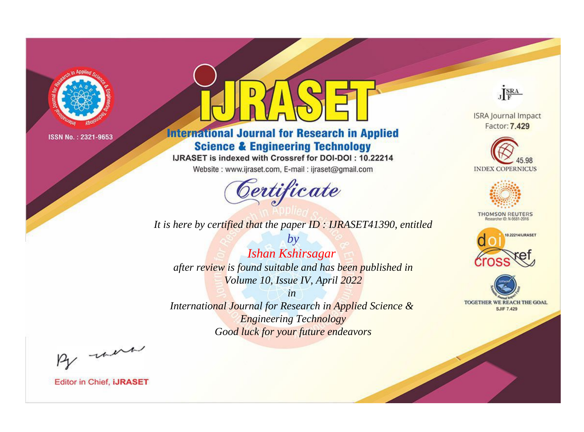

## **International Journal for Research in Applied Science & Engineering Technology**

IJRASET is indexed with Crossref for DOI-DOI: 10.22214

Website: www.ijraset.com, E-mail: ijraset@gmail.com

## Certificate

JERA

**ISRA Journal Impact** Factor: 7.429





**THOMSON REUTERS** 



TOGETHER WE REACH THE GOAL **SJIF 7.429** 

It is here by certified that the paper ID: IJRASET41390, entitled

 $by$ Ishan Kshirsagar after review is found suitable and has been published in Volume 10, Issue IV, April 2022

 $in$ International Journal for Research in Applied Science & **Engineering Technology** Good luck for your future endeavors

By morn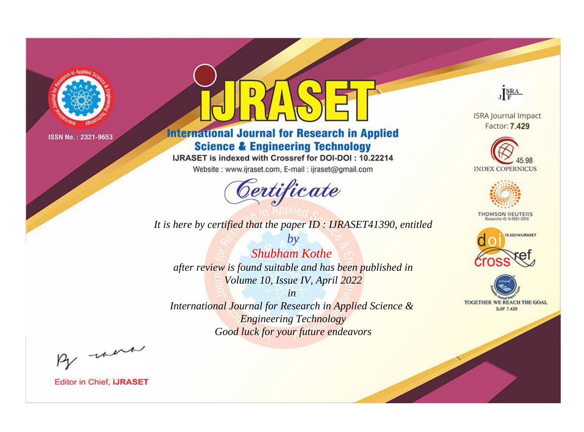

## **International Journal for Research in Applied Science & Engineering Technology**

IJRASET is indexed with Crossref for DOI-DOI: 10.22214

Website: www.ijraset.com, E-mail: ijraset@gmail.com

## Certificate

JERA

**ISRA Journal Impact** Factor: 7.429





**THOMSON REUTERS** 



TOGETHER WE REACH THE GOAL **SJIF 7.429** 

It is here by certified that the paper ID: IJRASET41390, entitled

 $b\nu$ **Shubham Kothe** after review is found suitable and has been published in Volume 10, Issue IV, April 2022

 $in$ International Journal for Research in Applied Science & **Engineering Technology** Good luck for your future endeavors

By morn